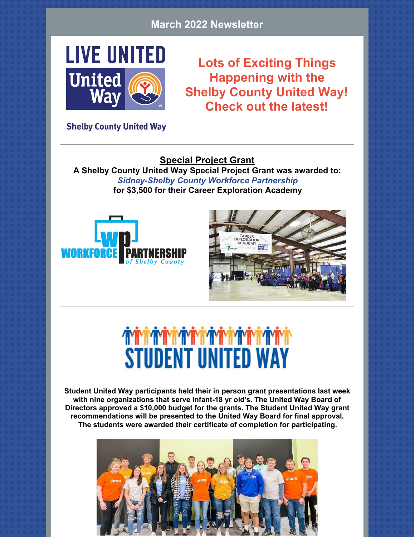#### **March 2022 Newsletter**



**Lots of Exciting Things Happening with the Shelby County United Way! Check out the latest!**

**Shelby County United Way** 

**Special Project Grant A Shelby County United Way Special Project Grant was awarded to:** *Sidney-Shelby County Workforce Partnership* **for \$3,500 for their Career Exploration Academy**





## *MARIA AND A CONTROLLED A MARIA AND A MARIA MARIA* **PARTY. STUDENT UNITED WAY**

**Student United Way participants held their in person grant presentations last week with nine organizations that serve infant-18 yr old's. The United Way Board of Directors approved a \$10,000 budget for the grants. The Student United Way grant recommendations will be presented to the United Way Board for final approval. The students were awarded their certificate of completion for participating.**

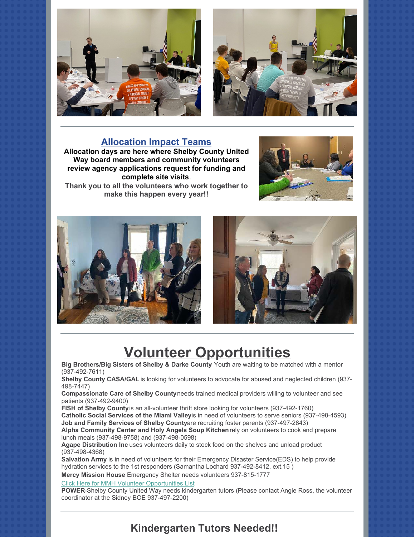



#### **Allocation Impact Teams**

**Allocation days are here where Shelby County United Way board members and community volunteers review agency applications request for funding and complete site visits**. **Thank you to all the volunteers who work together to make this happen every year!!**





#### **Volunteer Opportunities**

**Big Brothers/Big Sisters of Shelby & Darke County**- Youth are waiting to be matched with a mentor (937-492-7611)

**Shelby County CASA/GAL** is looking for volunteers to advocate for abused and neglected children (937- 498-7447)

**Compassionate Care of Shelby County** needs trained medical providers willing to volunteer and see patients (937-492-9400)

**FISH of Shelby County** is an all-volunteer thrift store looking for volunteers (937-492-1760) **Catholic Social Services of the Miami Valleyis in need of volunteers to serve seniors (937-498-4593) Job and Family Services of Shelby Countyare recruiting foster parents (937-497-2843) Alpha Community Center and Holy Angels Soup Kitchen** rely on volunteers to cook and prepare

lunch meals (937-498-9758) and (937-498-0598) **Agape Distribution Inc** uses volunteers daily to stock food on the shelves and unload product (937-498-4368)

**Salvation Army** is in need of volunteers for their Emergency Disaster Service(EDS) to help provide hydration services to the 1st responders (Samantha Lochard 937-492-8412, ext.15 )

**Mercy Mission House** Emergency Shelter needs volunteers 937-815-1777

[Click Here for MMH Volunteer Opportunities List](https://files.constantcontact.com/4a814c7e501/6909b815-8633-44d5-b5bb-0be6a369f729.pdf)

**POWER**-Shelby County United Way needs kindergarten tutors (Please contact Angie Ross, the volunteer coordinator at the Sidney BOE 937-497-2200)

#### **Kindergarten Tutors Needed!!**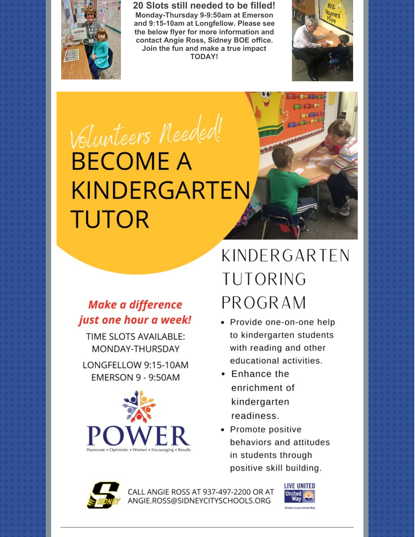

20 Slots still needed to be filled! Monday-Thursday 9-9:50am at Emerson and 9:15-10am at Longfellow. Please see the below flyer for more information and contact Angie Ross, Sidney BOE office. Join the fun and make a true impact **TODAY!** 



 $H$ 

# Volunteers Needed! **BECOME A KINDERGARTEN TUTOR**

#### **Make a difference** just one hour a week!

TIME SLOTS AVAILABLE: MONDAY-THURSDAY

LONGFELLOW 9:15-10AM **EMERSON 9 - 9:50AM** 



### KINDERGARTEN **TUTORING** PROGRAM

- Provide one-on-one help to kindergarten students with reading and other educational activities.
- $\bullet$  Enhance the enrichment of kindergarten readiness.
- Promote positive behaviors and attitudes in students through positive skill building.



CALL ANGIE ROSS AT 937-497-2200 OR AT ANGIE.ROSS@SIDNEYCITYSCHOOLS.ORG

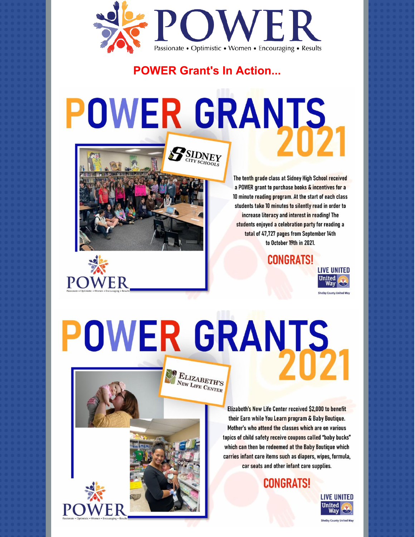

**POWER Grant's In Action...** 

# POWER GRANTS SIDNEY



**POWER** 

The tenth grade class at Sidney High School received a POWER grant to purchase books & incentives for a 10 minute reading program. At the start of each class students take 10 minutes to silently read in order to increase literacy and interest in reading! The students enjoyed a celebration party for reading a total of 47,727 pages from September 14th to October 19th in 2021.

**CONGRATS!** 



# POWER GRANTS

 $\begin{array}{l} \mathbf{E}_{\text{LIZABETH'S}}\\ \textbf{N}_{\text{EW LIEE}} \textbf{C}_{\text{ENTER}} \end{array}$ 

Elizabeth's New Life Center received \$2,000 to benefit their Earn while You Learn program & Baby Boutique. Mother's who attend the classes which are on various topics of child safety receive coupons called "baby bucks" which can then be redeemed at the Baby Boutique which carries infant care items such as diapers, wipes, formula, car seats and other infant care supplies.

**CONGRATS!**